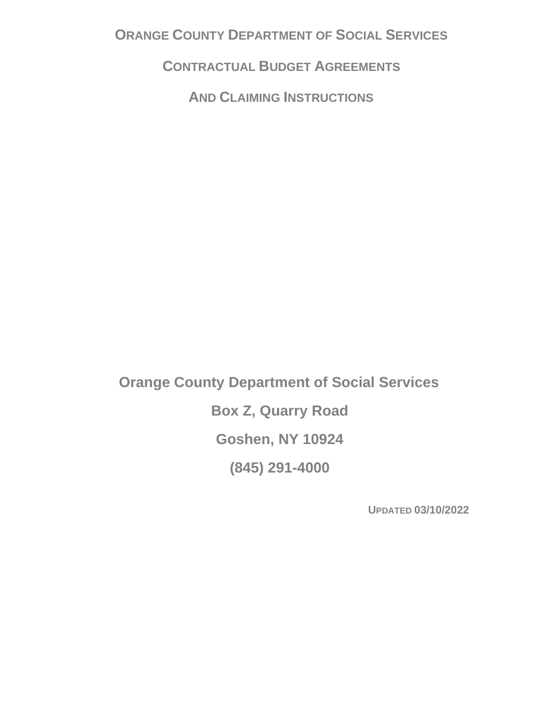**ORANGE COUNTY DEPARTMENT OF SOCIAL SERVICES**

**CONTRACTUAL BUDGET AGREEMENTS**

**AND CLAIMING INSTRUCTIONS**

**Orange County Department of Social Services Box Z, Quarry Road Goshen, NY 10924 (845) 291-4000**

**UPDATED 03/10/2022**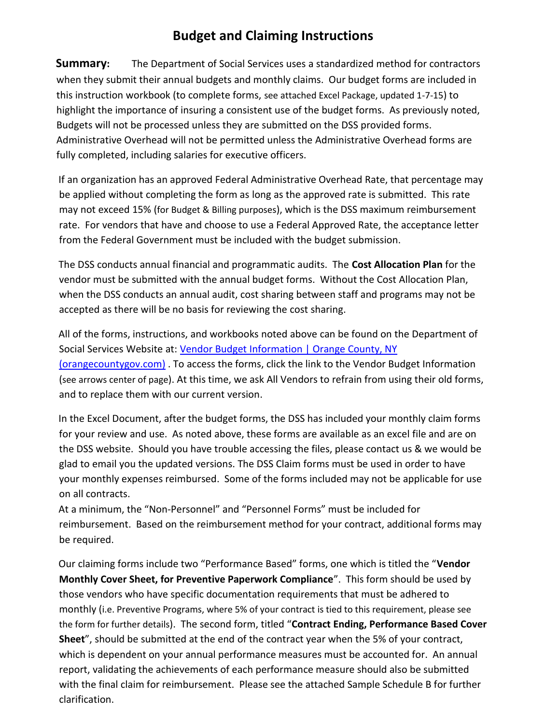## **Budget and Claiming Instructions**

**Summary:** The Department of Social Services uses a standardized method for contractors when they submit their annual budgets and monthly claims. Our budget forms are included in this instruction workbook (to complete forms, see attached Excel Package, updated 1-7-15) to highlight the importance of insuring a consistent use of the budget forms. As previously noted, Budgets will not be processed unless they are submitted on the DSS provided forms. Administrative Overhead will not be permitted unless the Administrative Overhead forms are fully completed, including salaries for executive officers.

If an organization has an approved Federal Administrative Overhead Rate, that percentage may be applied without completing the form as long as the approved rate is submitted. This rate may not exceed 15% (for Budget & Billing purposes), which is the DSS maximum reimbursement rate. For vendors that have and choose to use a Federal Approved Rate, the acceptance letter from the Federal Government must be included with the budget submission.

The DSS conducts annual financial and programmatic audits. The **Cost Allocation Plan** for the vendor must be submitted with the annual budget forms. Without the Cost Allocation Plan, when the DSS conducts an annual audit, cost sharing between staff and programs may not be accepted as there will be no basis for reviewing the cost sharing.

All of the forms, instructions, and workbooks noted above can be found on the Department of Social Services Website at: [Vendor Budget Information | Orange County, NY](https://www.orangecountygov.com/746/Vendor-Budget-Information)  [\(orangecountygov.com\)](https://www.orangecountygov.com/746/Vendor-Budget-Information) . To access the forms, click the link to the Vendor Budget Information (see arrows center of page). At this time, we ask All Vendors to refrain from using their old forms, and to replace them with our current version.

In the Excel Document, after the budget forms, the DSS has included your monthly claim forms for your review and use. As noted above, these forms are available as an excel file and are on the DSS website. Should you have trouble accessing the files, please contact us & we would be glad to email you the updated versions. The DSS Claim forms must be used in order to have your monthly expenses reimbursed. Some of the forms included may not be applicable for use on all contracts.

At a minimum, the "Non-Personnel" and "Personnel Forms" must be included for reimbursement. Based on the reimbursement method for your contract, additional forms may be required.

Our claiming forms include two "Performance Based" forms, one which is titled the "**Vendor Monthly Cover Sheet, for Preventive Paperwork Compliance**". This form should be used by those vendors who have specific documentation requirements that must be adhered to monthly (i.e. Preventive Programs, where 5% of your contract is tied to this requirement, please see the form for further details). The second form, titled "**Contract Ending, Performance Based Cover Sheet**", should be submitted at the end of the contract year when the 5% of your contract, which is dependent on your annual performance measures must be accounted for. An annual report, validating the achievements of each performance measure should also be submitted with the final claim for reimbursement. Please see the attached Sample Schedule B for further clarification.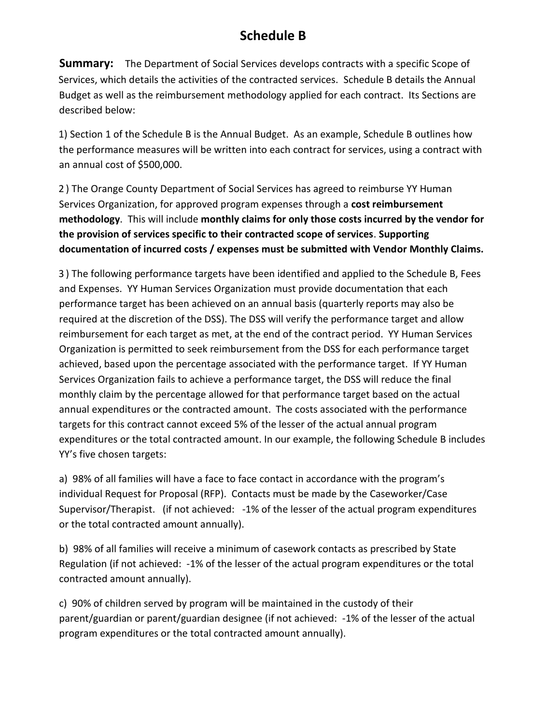## **Schedule B**

**Summary:** The Department of Social Services develops contracts with a specific Scope of Services, which details the activities of the contracted services. Schedule B details the Annual Budget as well as the reimbursement methodology applied for each contract. Its Sections are described below:

1) Section 1 of the Schedule B is the Annual Budget. As an example, Schedule B outlines how the performance measures will be written into each contract for services, using a contract with an annual cost of \$500,000.

2 ) The Orange County Department of Social Services has agreed to reimburse YY Human Services Organization, for approved program expenses through a **cost reimbursement methodology**. This will include **monthly claims for only those costs incurred by the vendor for the provision of services specific to their contracted scope of services**. **Supporting documentation of incurred costs / expenses must be submitted with Vendor Monthly Claims.**

3 ) The following performance targets have been identified and applied to the Schedule B, Fees and Expenses. YY Human Services Organization must provide documentation that each performance target has been achieved on an annual basis (quarterly reports may also be required at the discretion of the DSS). The DSS will verify the performance target and allow reimbursement for each target as met, at the end of the contract period. YY Human Services Organization is permitted to seek reimbursement from the DSS for each performance target achieved, based upon the percentage associated with the performance target. If YY Human Services Organization fails to achieve a performance target, the DSS will reduce the final monthly claim by the percentage allowed for that performance target based on the actual annual expenditures or the contracted amount. The costs associated with the performance targets for this contract cannot exceed 5% of the lesser of the actual annual program expenditures or the total contracted amount. In our example, the following Schedule B includes YY's five chosen targets:

a) 98% of all families will have a face to face contact in accordance with the program's individual Request for Proposal (RFP). Contacts must be made by the Caseworker/Case Supervisor/Therapist. (if not achieved: -1% of the lesser of the actual program expenditures or the total contracted amount annually).

b) 98% of all families will receive a minimum of casework contacts as prescribed by State Regulation (if not achieved: -1% of the lesser of the actual program expenditures or the total contracted amount annually).

c) 90% of children served by program will be maintained in the custody of their parent/guardian or parent/guardian designee (if not achieved: -1% of the lesser of the actual program expenditures or the total contracted amount annually).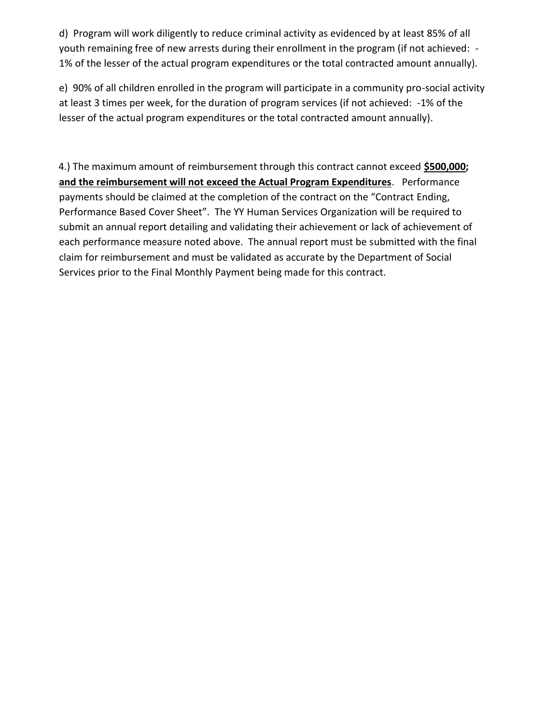d) Program will work diligently to reduce criminal activity as evidenced by at least 85% of all youth remaining free of new arrests during their enrollment in the program (if not achieved: - 1% of the lesser of the actual program expenditures or the total contracted amount annually).

e) 90% of all children enrolled in the program will participate in a community pro-social activity at least 3 times per week, for the duration of program services (if not achieved: -1% of the lesser of the actual program expenditures or the total contracted amount annually).

4.) The maximum amount of reimbursement through this contract cannot exceed **\$500,000; and the reimbursement will not exceed the Actual Program Expenditures**. Performance payments should be claimed at the completion of the contract on the "Contract Ending, Performance Based Cover Sheet". The YY Human Services Organization will be required to submit an annual report detailing and validating their achievement or lack of achievement of each performance measure noted above. The annual report must be submitted with the final claim for reimbursement and must be validated as accurate by the Department of Social Services prior to the Final Monthly Payment being made for this contract.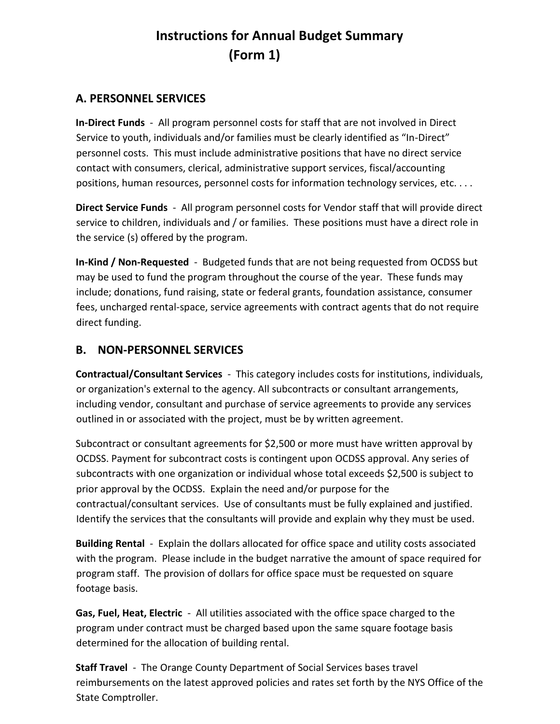# **Instructions for Annual Budget Summary (Form 1)**

#### **A. PERSONNEL SERVICES**

**In-Direct Funds** - All program personnel costs for staff that are not involved in Direct Service to youth, individuals and/or families must be clearly identified as "In-Direct" personnel costs. This must include administrative positions that have no direct service contact with consumers, clerical, administrative support services, fiscal/accounting positions, human resources, personnel costs for information technology services, etc. . . .

**Direct Service Funds** - All program personnel costs for Vendor staff that will provide direct service to children, individuals and / or families. These positions must have a direct role in the service (s) offered by the program.

**In-Kind / Non-Requested** - Budgeted funds that are not being requested from OCDSS but may be used to fund the program throughout the course of the year. These funds may include; donations, fund raising, state or federal grants, foundation assistance, consumer fees, uncharged rental-space, service agreements with contract agents that do not require direct funding.

#### **B. NON-PERSONNEL SERVICES**

**Contractual/Consultant Services** - This category includes costs for institutions, individuals, or organization's external to the agency. All subcontracts or consultant arrangements, including vendor, consultant and purchase of service agreements to provide any services outlined in or associated with the project, must be by written agreement.

Subcontract or consultant agreements for \$2,500 or more must have written approval by OCDSS. Payment for subcontract costs is contingent upon OCDSS approval. Any series of subcontracts with one organization or individual whose total exceeds \$2,500 is subject to prior approval by the OCDSS. Explain the need and/or purpose for the contractual/consultant services. Use of consultants must be fully explained and justified. Identify the services that the consultants will provide and explain why they must be used.

**Building Rental** - Explain the dollars allocated for office space and utility costs associated with the program. Please include in the budget narrative the amount of space required for program staff. The provision of dollars for office space must be requested on square footage basis.

**Gas, Fuel, Heat, Electric** - All utilities associated with the office space charged to the program under contract must be charged based upon the same square footage basis determined for the allocation of building rental.

**Staff Travel** - The Orange County Department of Social Services bases travel reimbursements on the latest approved policies and rates set forth by the NYS Office of the State Comptroller.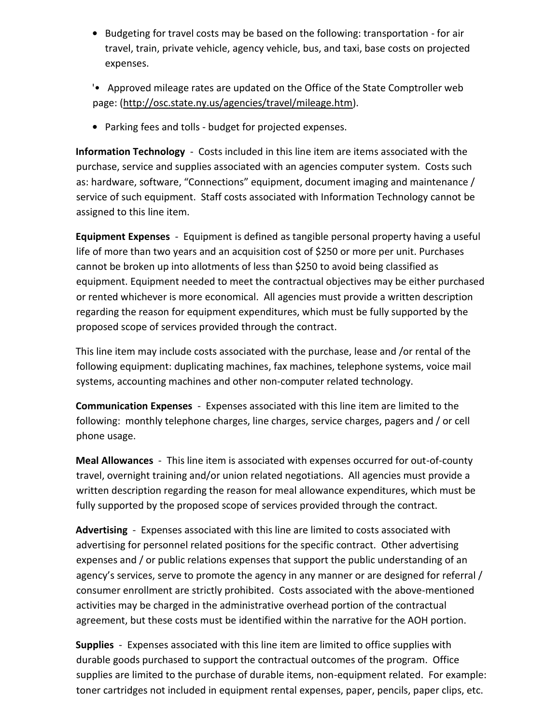- **•** Budgeting for travel costs may be based on the following: transportation for air travel, train, private vehicle, agency vehicle, bus, and taxi, base costs on projected expenses.
- '• Approved mileage rates are updated on the Office of the State Comptroller web page: (http://osc.state.ny.us/agencies/travel/mileage.htm).
- **•** Parking fees and tolls budget for projected expenses.

**Information Technology** - Costs included in this line item are items associated with the purchase, service and supplies associated with an agencies computer system. Costs such as: hardware, software, "Connections" equipment, document imaging and maintenance / service of such equipment. Staff costs associated with Information Technology cannot be assigned to this line item.

**Equipment Expenses** - Equipment is defined as tangible personal property having a useful life of more than two years and an acquisition cost of \$250 or more per unit. Purchases cannot be broken up into allotments of less than \$250 to avoid being classified as equipment. Equipment needed to meet the contractual objectives may be either purchased or rented whichever is more economical. All agencies must provide a written description regarding the reason for equipment expenditures, which must be fully supported by the proposed scope of services provided through the contract.

This line item may include costs associated with the purchase, lease and /or rental of the following equipment: duplicating machines, fax machines, telephone systems, voice mail systems, accounting machines and other non-computer related technology.

**Communication Expenses** - Expenses associated with this line item are limited to the following: monthly telephone charges, line charges, service charges, pagers and / or cell phone usage.

**Meal Allowances** - This line item is associated with expenses occurred for out-of-county travel, overnight training and/or union related negotiations. All agencies must provide a written description regarding the reason for meal allowance expenditures, which must be fully supported by the proposed scope of services provided through the contract.

**Advertising** - Expenses associated with this line are limited to costs associated with advertising for personnel related positions for the specific contract. Other advertising expenses and / or public relations expenses that support the public understanding of an agency's services, serve to promote the agency in any manner or are designed for referral / consumer enrollment are strictly prohibited. Costs associated with the above-mentioned activities may be charged in the administrative overhead portion of the contractual agreement, but these costs must be identified within the narrative for the AOH portion.

**Supplies** - Expenses associated with this line item are limited to office supplies with durable goods purchased to support the contractual outcomes of the program. Office supplies are limited to the purchase of durable items, non-equipment related. For example: toner cartridges not included in equipment rental expenses, paper, pencils, paper clips, etc.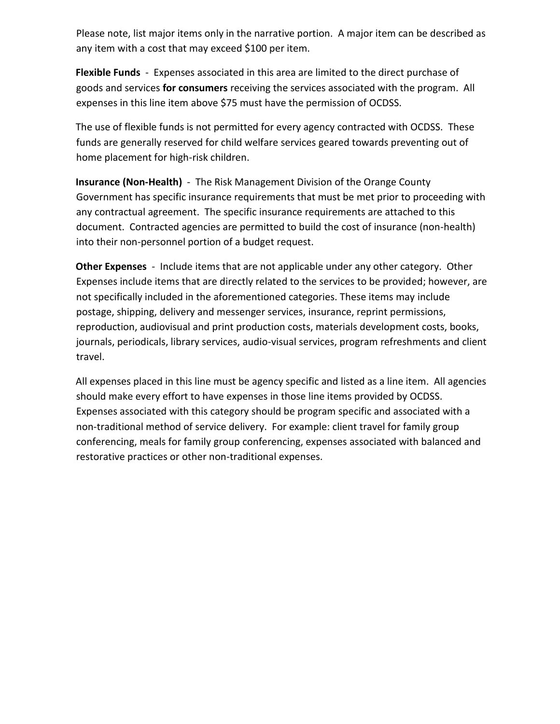Please note, list major items only in the narrative portion. A major item can be described as any item with a cost that may exceed \$100 per item.

**Flexible Funds** - Expenses associated in this area are limited to the direct purchase of goods and services **for consumers** receiving the services associated with the program. All expenses in this line item above \$75 must have the permission of OCDSS.

The use of flexible funds is not permitted for every agency contracted with OCDSS. These funds are generally reserved for child welfare services geared towards preventing out of home placement for high-risk children.

**Insurance (Non-Health)** - The Risk Management Division of the Orange County Government has specific insurance requirements that must be met prior to proceeding with any contractual agreement. The specific insurance requirements are attached to this document. Contracted agencies are permitted to build the cost of insurance (non-health) into their non-personnel portion of a budget request.

**Other Expenses** - Include items that are not applicable under any other category. Other Expenses include items that are directly related to the services to be provided; however, are not specifically included in the aforementioned categories. These items may include postage, shipping, delivery and messenger services, insurance, reprint permissions, reproduction, audiovisual and print production costs, materials development costs, books, journals, periodicals, library services, audio-visual services, program refreshments and client travel.

All expenses placed in this line must be agency specific and listed as a line item. All agencies should make every effort to have expenses in those line items provided by OCDSS. Expenses associated with this category should be program specific and associated with a non-traditional method of service delivery. For example: client travel for family group conferencing, meals for family group conferencing, expenses associated with balanced and restorative practices or other non-traditional expenses.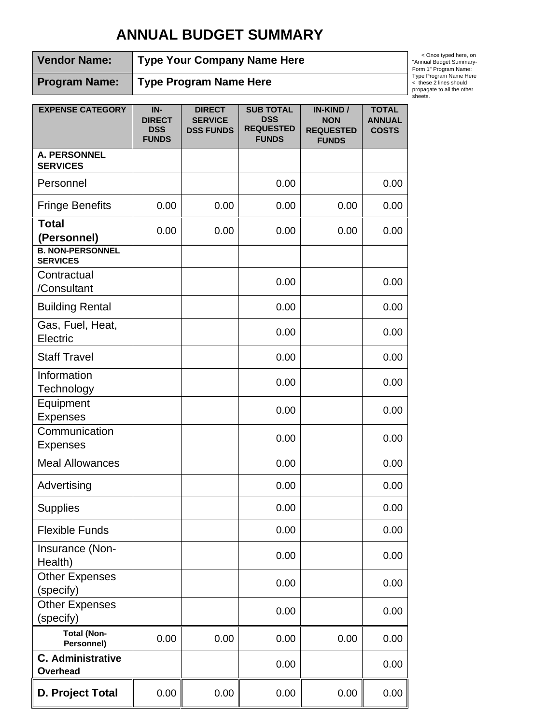# **ANNUAL BUDGET SUMMARY**

| <b>Vendor Name:</b>  | <b>Typ</b> |
|----------------------|------------|
| <b>Program Name:</b> | Tvr        |

**Vendor Name: Type Your Company Name Here**

**Program Name: Type Program Name Here**

 < Once typed here, on "Annual Budget Summary-Form 1" Program Name: Type Program Name Here < these 2 lines should propagate to all the other sheets.

| <b>EXPENSE CATEGORY</b>                                | IN-<br><b>DIRECT</b><br><b>DSS</b><br><b>FUNDS</b> | <b>DIRECT</b><br><b>SERVICE</b><br><b>DSS FUNDS</b> | <b>SUB TOTAL</b><br><b>DSS</b><br><b>REQUESTED</b><br><b>FUNDS</b> | <b>IN-KIND /</b><br><b>NON</b><br><b>REQUESTED</b><br><b>FUNDS</b> | <b>TOTAL</b><br><b>ANNUAL</b><br><b>COSTS</b> |
|--------------------------------------------------------|----------------------------------------------------|-----------------------------------------------------|--------------------------------------------------------------------|--------------------------------------------------------------------|-----------------------------------------------|
| <b>A. PERSONNEL</b><br><b>SERVICES</b>                 |                                                    |                                                     |                                                                    |                                                                    |                                               |
| Personnel                                              |                                                    |                                                     | 0.00                                                               |                                                                    | 0.00                                          |
| <b>Fringe Benefits</b>                                 | 0.00                                               | 0.00                                                | 0.00                                                               | 0.00                                                               | 0.00                                          |
| <b>Total</b><br>(Personnel)<br><b>B. NON-PERSONNEL</b> | 0.00                                               | 0.00                                                | 0.00                                                               | 0.00                                                               | 0.00                                          |
| <b>SERVICES</b>                                        |                                                    |                                                     |                                                                    |                                                                    |                                               |
| Contractual<br>/Consultant                             |                                                    |                                                     | 0.00                                                               |                                                                    | 0.00                                          |
| <b>Building Rental</b>                                 |                                                    |                                                     | 0.00                                                               |                                                                    | 0.00                                          |
| Gas, Fuel, Heat,<br>Electric                           |                                                    |                                                     | 0.00                                                               |                                                                    | 0.00                                          |
| <b>Staff Travel</b>                                    |                                                    |                                                     | 0.00                                                               |                                                                    | 0.00                                          |
| Information<br>Technology                              |                                                    |                                                     | 0.00                                                               |                                                                    | 0.00                                          |
| Equipment<br><b>Expenses</b>                           |                                                    |                                                     | 0.00                                                               |                                                                    | 0.00                                          |
| Communication<br><b>Expenses</b>                       |                                                    |                                                     | 0.00                                                               |                                                                    | 0.00                                          |
| <b>Meal Allowances</b>                                 |                                                    |                                                     | 0.00                                                               |                                                                    | 0.00                                          |
| Advertising                                            |                                                    |                                                     | 0.00                                                               |                                                                    | 0.00                                          |
| <b>Supplies</b>                                        |                                                    |                                                     | 0.00                                                               |                                                                    | 0.00                                          |
| <b>Flexible Funds</b>                                  |                                                    |                                                     | 0.00                                                               |                                                                    | 0.00                                          |
| Insurance (Non-<br>Health)                             |                                                    |                                                     | 0.00                                                               |                                                                    | 0.00                                          |
| <b>Other Expenses</b><br>(specify)                     |                                                    |                                                     | 0.00                                                               |                                                                    | 0.00                                          |
| <b>Other Expenses</b><br>(specify)                     |                                                    |                                                     | 0.00                                                               |                                                                    | 0.00                                          |
| <b>Total (Non-</b><br>Personnel)                       | 0.00                                               | 0.00                                                | 0.00                                                               | 0.00                                                               | 0.00                                          |
| <b>C.</b> Administrative<br><b>Overhead</b>            |                                                    |                                                     | 0.00                                                               |                                                                    | 0.00                                          |
| D. Project Total                                       | 0.00                                               | 0.00                                                | 0.00                                                               | 0.00                                                               | 0.00                                          |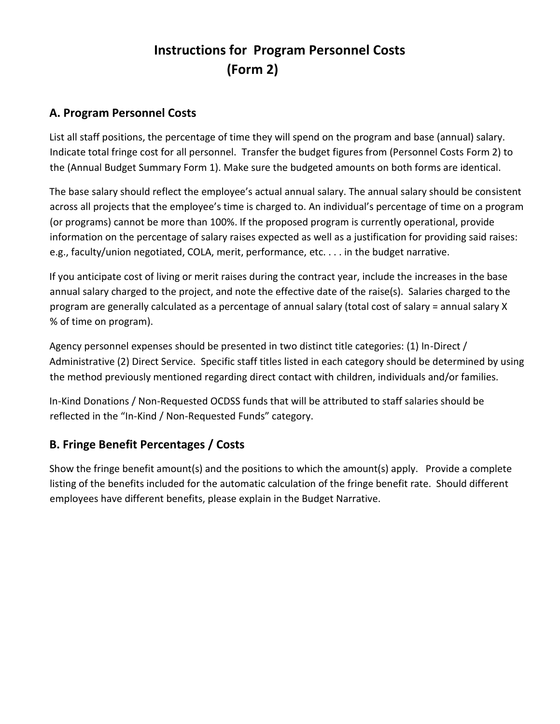# **Instructions for Program Personnel Costs (Form 2)**

#### **A. Program Personnel Costs**

List all staff positions, the percentage of time they will spend on the program and base (annual) salary. Indicate total fringe cost for all personnel. Transfer the budget figures from (Personnel Costs Form 2) to the (Annual Budget Summary Form 1). Make sure the budgeted amounts on both forms are identical.

The base salary should reflect the employee's actual annual salary. The annual salary should be consistent across all projects that the employee's time is charged to. An individual's percentage of time on a program (or programs) cannot be more than 100%. If the proposed program is currently operational, provide information on the percentage of salary raises expected as well as a justification for providing said raises: e.g., faculty/union negotiated, COLA, merit, performance, etc. . . . in the budget narrative.

If you anticipate cost of living or merit raises during the contract year, include the increases in the base annual salary charged to the project, and note the effective date of the raise(s). Salaries charged to the program are generally calculated as a percentage of annual salary (total cost of salary = annual salary X % of time on program).

Agency personnel expenses should be presented in two distinct title categories: (1) In-Direct / Administrative (2) Direct Service. Specific staff titles listed in each category should be determined by using the method previously mentioned regarding direct contact with children, individuals and/or families.

In-Kind Donations / Non-Requested OCDSS funds that will be attributed to staff salaries should be reflected in the "In-Kind / Non-Requested Funds" category.

#### **B. Fringe Benefit Percentages / Costs**

Show the fringe benefit amount(s) and the positions to which the amount(s) apply. Provide a complete listing of the benefits included for the automatic calculation of the fringe benefit rate. Should different employees have different benefits, please explain in the Budget Narrative.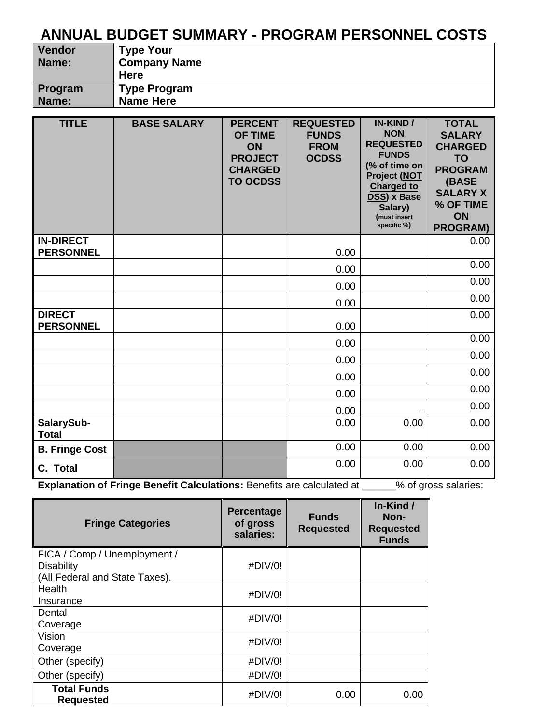## **ANNUAL BUDGET SUMMARY - PROGRAM PERSONNEL COSTS**

| <b>Vendor</b><br>Name: | <b>Type Your</b><br><b>Company Name</b><br><b>Here</b> |
|------------------------|--------------------------------------------------------|
| Program                | <b>Type Program</b>                                    |
| Name:                  | <b>Name Here</b>                                       |

| <b>TITLE</b>                         | <b>BASE SALARY</b> | <b>PERCENT</b><br><b>OF TIME</b><br><b>ON</b><br><b>PROJECT</b><br><b>CHARGED</b><br><b>TO OCDSS</b> | <b>REQUESTED</b><br><b>FUNDS</b><br><b>FROM</b><br><b>OCDSS</b> | <b>IN-KIND /</b><br><b>NON</b><br><b>REQUESTED</b><br><b>FUNDS</b><br>(% of time on<br>Project (NOT<br><b>Charged to</b><br>DSS) x Base<br>Salary)<br>(must insert<br>specific %) | <b>TOTAL</b><br><b>SALARY</b><br><b>CHARGED</b><br><b>TO</b><br><b>PROGRAM</b><br>(BASE<br><b>SALARY X</b><br>% OF TIME<br>ON<br><b>PROGRAM)</b> |
|--------------------------------------|--------------------|------------------------------------------------------------------------------------------------------|-----------------------------------------------------------------|-----------------------------------------------------------------------------------------------------------------------------------------------------------------------------------|--------------------------------------------------------------------------------------------------------------------------------------------------|
| <b>IN-DIRECT</b><br><b>PERSONNEL</b> |                    |                                                                                                      | 0.00                                                            |                                                                                                                                                                                   | 0.00                                                                                                                                             |
|                                      |                    |                                                                                                      | 0.00                                                            |                                                                                                                                                                                   | 0.00                                                                                                                                             |
|                                      |                    |                                                                                                      | 0.00                                                            |                                                                                                                                                                                   | 0.00                                                                                                                                             |
|                                      |                    |                                                                                                      | 0.00                                                            |                                                                                                                                                                                   | 0.00                                                                                                                                             |
| <b>DIRECT</b><br><b>PERSONNEL</b>    |                    |                                                                                                      | 0.00                                                            |                                                                                                                                                                                   | 0.00                                                                                                                                             |
|                                      |                    |                                                                                                      | 0.00                                                            |                                                                                                                                                                                   | 0.00                                                                                                                                             |
|                                      |                    |                                                                                                      | 0.00                                                            |                                                                                                                                                                                   | 0.00                                                                                                                                             |
|                                      |                    |                                                                                                      | 0.00                                                            |                                                                                                                                                                                   | 0.00                                                                                                                                             |
|                                      |                    |                                                                                                      | 0.00                                                            |                                                                                                                                                                                   | 0.00                                                                                                                                             |
|                                      |                    |                                                                                                      | 0.00                                                            |                                                                                                                                                                                   | 0.00                                                                                                                                             |
| SalarySub-<br><b>Total</b>           |                    |                                                                                                      | 0.00                                                            | 0.00                                                                                                                                                                              | 0.00                                                                                                                                             |
| <b>B. Fringe Cost</b>                |                    |                                                                                                      | 0.00                                                            | 0.00                                                                                                                                                                              | 0.00                                                                                                                                             |
| C. Total                             |                    |                                                                                                      | 0.00                                                            | 0.00                                                                                                                                                                              | 0.00                                                                                                                                             |

**Explanation of Fringe Benefit Calculations:** Benefits are calculated at \_\_\_\_\_% of gross salaries:

| <b>Fringe Categories</b>                                                            | Percentage<br>of gross<br>salaries: | <b>Funds</b><br><b>Requested</b> | $In-Kind/$<br>Non-<br><b>Requested</b><br><b>Funds</b> |
|-------------------------------------------------------------------------------------|-------------------------------------|----------------------------------|--------------------------------------------------------|
| FICA / Comp / Unemployment /<br><b>Disability</b><br>(All Federal and State Taxes). | #DIV/0!                             |                                  |                                                        |
| Health<br>Insurance                                                                 | #DIV/0!                             |                                  |                                                        |
| Dental<br>Coverage                                                                  | $\#$ DIV/0!                         |                                  |                                                        |
| Vision<br>Coverage                                                                  | #DIV/0!                             |                                  |                                                        |
| Other (specify)                                                                     | #DIV/0!                             |                                  |                                                        |
| Other (specify)                                                                     | #DIV/0!                             |                                  |                                                        |
| <b>Total Funds</b><br><b>Requested</b>                                              | #DIV/0!                             | 0.00                             | 0.00                                                   |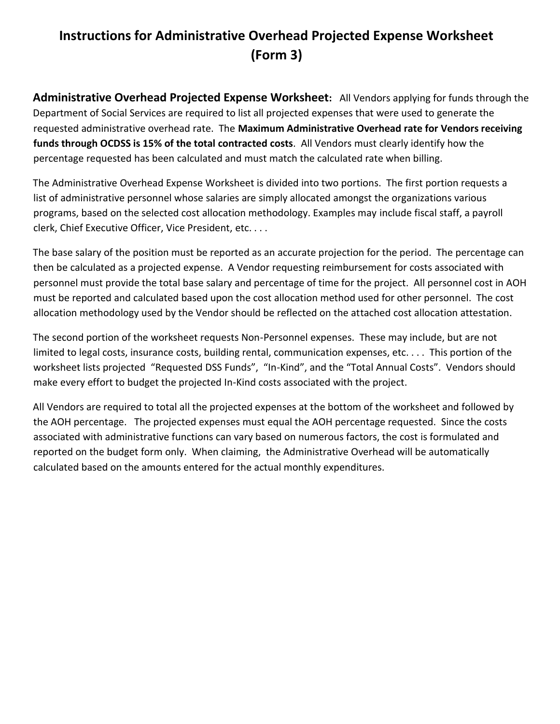## **Instructions for Administrative Overhead Projected Expense Worksheet (Form 3)**

**Administrative Overhead Projected Expense Worksheet:** All Vendors applying for funds through the Department of Social Services are required to list all projected expenses that were used to generate the requested administrative overhead rate. The **Maximum Administrative Overhead rate for Vendors receiving funds through OCDSS is 15% of the total contracted costs**. All Vendors must clearly identify how the percentage requested has been calculated and must match the calculated rate when billing.

The Administrative Overhead Expense Worksheet is divided into two portions. The first portion requests a list of administrative personnel whose salaries are simply allocated amongst the organizations various programs, based on the selected cost allocation methodology. Examples may include fiscal staff, a payroll clerk, Chief Executive Officer, Vice President, etc. . . .

The base salary of the position must be reported as an accurate projection for the period. The percentage can then be calculated as a projected expense. A Vendor requesting reimbursement for costs associated with personnel must provide the total base salary and percentage of time for the project. All personnel cost in AOH must be reported and calculated based upon the cost allocation method used for other personnel. The cost allocation methodology used by the Vendor should be reflected on the attached cost allocation attestation.

The second portion of the worksheet requests Non-Personnel expenses. These may include, but are not limited to legal costs, insurance costs, building rental, communication expenses, etc. . . . This portion of the worksheet lists projected "Requested DSS Funds", "In-Kind", and the "Total Annual Costs". Vendors should make every effort to budget the projected In-Kind costs associated with the project.

All Vendors are required to total all the projected expenses at the bottom of the worksheet and followed by the AOH percentage. The projected expenses must equal the AOH percentage requested. Since the costs associated with administrative functions can vary based on numerous factors, the cost is formulated and reported on the budget form only. When claiming, the Administrative Overhead will be automatically calculated based on the amounts entered for the actual monthly expenditures.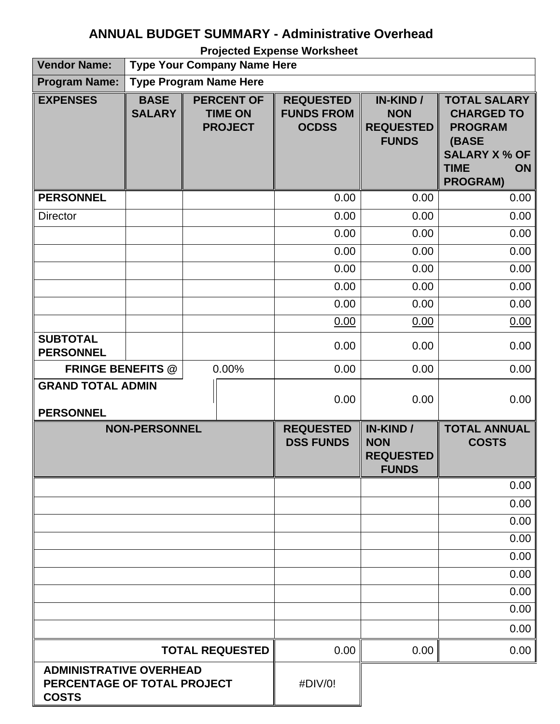# **ANNUAL BUDGET SUMMARY - Administrative Overhead**

**Projected Expense Worksheet**

| <b>Vendor Name:</b>                                                           | <b>Type Your Company Name Here</b> |                                                       |                                                       |                                                                   |                                                                                                                                     |
|-------------------------------------------------------------------------------|------------------------------------|-------------------------------------------------------|-------------------------------------------------------|-------------------------------------------------------------------|-------------------------------------------------------------------------------------------------------------------------------------|
| <b>Program Name:</b>                                                          |                                    | <b>Type Program Name Here</b>                         |                                                       |                                                                   |                                                                                                                                     |
| <b>EXPENSES</b>                                                               | <b>BASE</b><br><b>SALARY</b>       | <b>PERCENT OF</b><br><b>TIME ON</b><br><b>PROJECT</b> | <b>REQUESTED</b><br><b>FUNDS FROM</b><br><b>OCDSS</b> | IN-KIND /<br><b>NON</b><br><b>REQUESTED</b><br><b>FUNDS</b>       | <b>TOTAL SALARY</b><br><b>CHARGED TO</b><br><b>PROGRAM</b><br>(BASE<br><b>SALARY X % OF</b><br><b>TIME</b><br>ON<br><b>PROGRAM)</b> |
| <b>PERSONNEL</b>                                                              |                                    |                                                       | 0.00                                                  | 0.00                                                              | 0.00                                                                                                                                |
| <b>Director</b>                                                               |                                    |                                                       | 0.00                                                  | 0.00                                                              | 0.00                                                                                                                                |
|                                                                               |                                    |                                                       | 0.00                                                  | 0.00                                                              | 0.00                                                                                                                                |
|                                                                               |                                    |                                                       | 0.00                                                  | 0.00                                                              | 0.00                                                                                                                                |
|                                                                               |                                    |                                                       | 0.00                                                  | 0.00                                                              | 0.00                                                                                                                                |
|                                                                               |                                    |                                                       | 0.00                                                  | 0.00                                                              | 0.00                                                                                                                                |
|                                                                               |                                    |                                                       | 0.00                                                  | 0.00                                                              | 0.00                                                                                                                                |
|                                                                               |                                    |                                                       | 0.00                                                  | 0.00                                                              | 0.00                                                                                                                                |
| <b>SUBTOTAL</b><br><b>PERSONNEL</b>                                           |                                    |                                                       | 0.00                                                  | 0.00                                                              | 0.00                                                                                                                                |
| <b>FRINGE BENEFITS @</b>                                                      |                                    | 0.00%                                                 | 0.00                                                  | 0.00                                                              | 0.00                                                                                                                                |
| <b>GRAND TOTAL ADMIN</b><br><b>PERSONNEL</b>                                  |                                    |                                                       | 0.00                                                  | 0.00                                                              | 0.00                                                                                                                                |
|                                                                               | <b>NON-PERSONNEL</b>               |                                                       | <b>REQUESTED</b><br><b>DSS FUNDS</b>                  | <b>IN-KIND/</b><br><b>NON</b><br><b>REQUESTED</b><br><b>FUNDS</b> | <b>TOTAL ANNUAL</b><br><b>COSTS</b>                                                                                                 |
|                                                                               |                                    |                                                       |                                                       |                                                                   | 0.00                                                                                                                                |
|                                                                               |                                    |                                                       |                                                       |                                                                   | 0.00                                                                                                                                |
|                                                                               |                                    |                                                       |                                                       |                                                                   | 0.00                                                                                                                                |
|                                                                               |                                    |                                                       |                                                       |                                                                   | 0.00                                                                                                                                |
|                                                                               |                                    |                                                       |                                                       |                                                                   | 0.00                                                                                                                                |
|                                                                               |                                    |                                                       |                                                       |                                                                   | 0.00                                                                                                                                |
|                                                                               |                                    |                                                       |                                                       |                                                                   | 0.00                                                                                                                                |
|                                                                               |                                    |                                                       |                                                       |                                                                   | 0.00<br>0.00                                                                                                                        |
|                                                                               |                                    | <b>TOTAL REQUESTED</b>                                | 0.00                                                  | 0.00                                                              | 0.00                                                                                                                                |
| <b>ADMINISTRATIVE OVERHEAD</b><br>PERCENTAGE OF TOTAL PROJECT<br><b>COSTS</b> |                                    |                                                       | #DIV/0!                                               |                                                                   |                                                                                                                                     |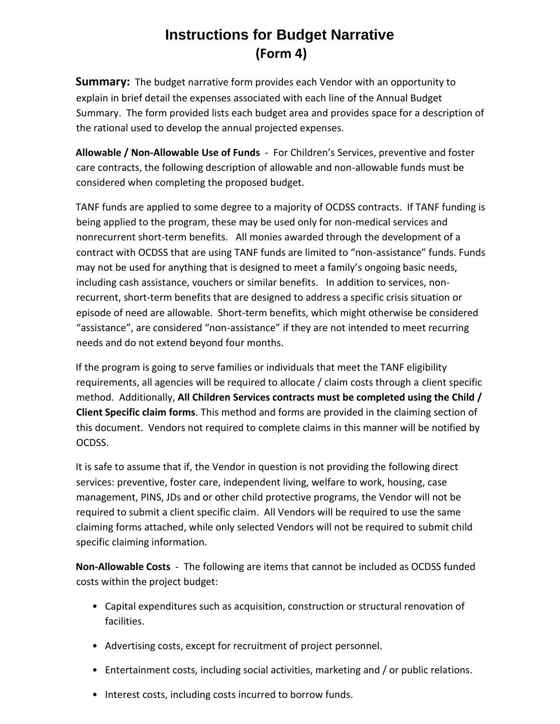# **Instructions for Budget Narrative (Form 4)**

**Summary:** The budget narrative form provides each Vendor with an opportunity to explain in brief detail the expenses associated with each line of the Annual Budget Summary. The form provided lists each budget area and provides space for a description of the rational used to develop the annual projected expenses.

**Allowable / Non-Allowable Use of Funds** - For Children's Services, preventive and foster care contracts, the following description of allowable and non-allowable funds must be considered when completing the proposed budget.

TANF funds are applied to some degree to a majority of OCDSS contracts. If TANF funding is being applied to the program, these may be used only for non-medical services and nonrecurrent short-term benefits. All monies awarded through the development of a contract with OCDSS that are using TANF funds are limited to "non-assistance" funds. Funds may not be used for anything that is designed to meet a family's ongoing basic needs, including cash assistance, vouchers or similar benefits. In addition to services, nonrecurrent, short-term benefits that are designed to address a specific crisis situation or episode of need are allowable. Short-term benefits, which might otherwise be considered "assistance", are considered "non-assistance" if they are not intended to meet recurring needs and do not extend beyond four months.

If the program is going to serve families or individuals that meet the TANF eligibility requirements, all agencies will be required to allocate / claim costs through a client specific method. Additionally, **All Children Services contracts must be completed using the Child / Client Specific claim forms**. This method and forms are provided in the claiming section of this document. Vendors not required to complete claims in this manner will be notified by OCDSS.

It is safe to assume that if, the Vendor in question is not providing the following direct services: preventive, foster care, independent living, welfare to work, housing, case management, PINS, JDs and or other child protective programs, the Vendor will not be required to submit a client specific claim. All Vendors will be required to use the same claiming forms attached, while only selected Vendors will not be required to submit child specific claiming information.

**Non-Allowable Costs** - The following are items that cannot be included as OCDSS funded costs within the project budget:

- Capital expenditures such as acquisition, construction or structural renovation of facilities.
- Advertising costs, except for recruitment of project personnel.
- Entertainment costs, including social activities, marketing and / or public relations.
- Interest costs, including costs incurred to borrow funds.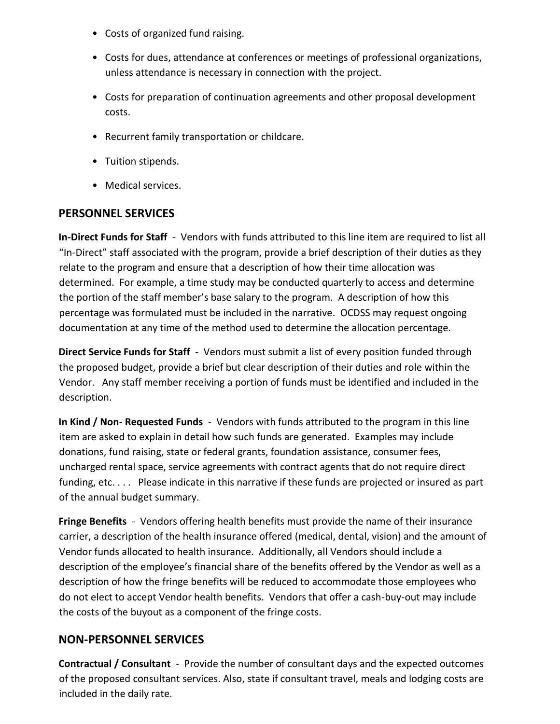- Costs of organized fund raising.
- Costs for dues, attendance at conferences or meetings of professional organizations, unless attendance is necessary in connection with the project.
- Costs for preparation of continuation agreements and other proposal development costs.
- Recurrent family transportation or childcare.
- Tuition stipends.
- Medical services.

#### **PERSONNEL SERVICES**

**In-Direct Funds for Staff** - Vendors with funds attributed to this line item are required to list all "In-Direct" staff associated with the program, provide a brief description of their duties as they relate to the program and ensure that a description of how their time allocation was determined. For example, a time study may be conducted quarterly to access and determine the portion of the staff member's base salary to the program. A description of how this percentage was formulated must be included in the narrative. OCDSS may request ongoing documentation at any time of the method used to determine the allocation percentage.

**Direct Service Funds for Staff** - Vendors must submit a list of every position funded through the proposed budget, provide a brief but clear description of their duties and role within the Vendor. Any staff member receiving a portion of funds must be identified and included in the description.

**In Kind / Non- Requested Funds** - Vendors with funds attributed to the program in this line item are asked to explain in detail how such funds are generated. Examples may include donations, fund raising, state or federal grants, foundation assistance, consumer fees, uncharged rental space, service agreements with contract agents that do not require direct funding, etc. . . . Please indicate in this narrative if these funds are projected or insured as part of the annual budget summary.

**Fringe Benefits** - Vendors offering health benefits must provide the name of their insurance carrier, a description of the health insurance offered (medical, dental, vision) and the amount of Vendor funds allocated to health insurance. Additionally, all Vendors should include a description of the employee's financial share of the benefits offered by the Vendor as well as a description of how the fringe benefits will be reduced to accommodate those employees who do not elect to accept Vendor health benefits. Vendors that offer a cash-buy-out may include the costs of the buyout as a component of the fringe costs.

#### **NON-PERSONNEL SERVICES**

**Contractual / Consultant** - Provide the number of consultant days and the expected outcomes of the proposed consultant services. Also, state if consultant travel, meals and lodging costs are included in the daily rate.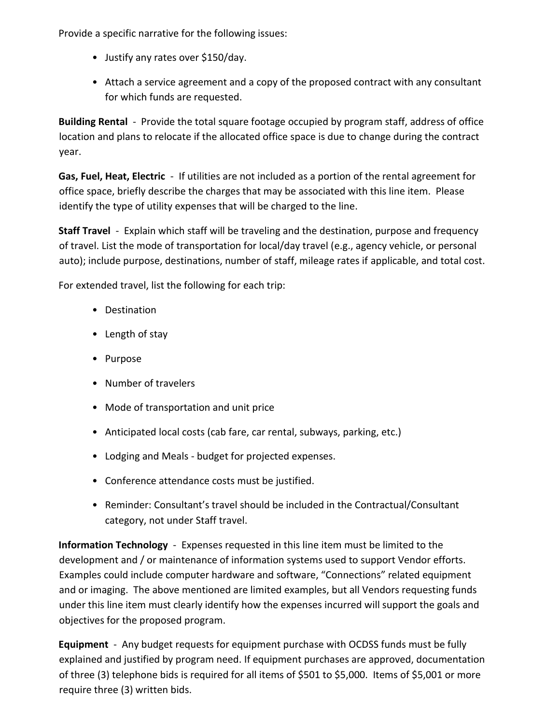Provide a specific narrative for the following issues:

- Justify any rates over \$150/day.
- Attach a service agreement and a copy of the proposed contract with any consultant for which funds are requested.

**Building Rental** - Provide the total square footage occupied by program staff, address of office location and plans to relocate if the allocated office space is due to change during the contract year.

**Gas, Fuel, Heat, Electric** - If utilities are not included as a portion of the rental agreement for office space, briefly describe the charges that may be associated with this line item. Please identify the type of utility expenses that will be charged to the line.

**Staff Travel** - Explain which staff will be traveling and the destination, purpose and frequency of travel. List the mode of transportation for local/day travel (e.g., agency vehicle, or personal auto); include purpose, destinations, number of staff, mileage rates if applicable, and total cost.

For extended travel, list the following for each trip:

- Destination
- Length of stay
- Purpose
- Number of travelers
- Mode of transportation and unit price
- Anticipated local costs (cab fare, car rental, subways, parking, etc.)
- Lodging and Meals budget for projected expenses.
- Conference attendance costs must be justified.
- Reminder: Consultant's travel should be included in the Contractual/Consultant category, not under Staff travel.

**Information Technology** - Expenses requested in this line item must be limited to the development and / or maintenance of information systems used to support Vendor efforts. Examples could include computer hardware and software, "Connections" related equipment and or imaging. The above mentioned are limited examples, but all Vendors requesting funds under this line item must clearly identify how the expenses incurred will support the goals and objectives for the proposed program.

**Equipment** - Any budget requests for equipment purchase with OCDSS funds must be fully explained and justified by program need. If equipment purchases are approved, documentation of three (3) telephone bids is required for all items of \$501 to \$5,000. Items of \$5,001 or more require three (3) written bids.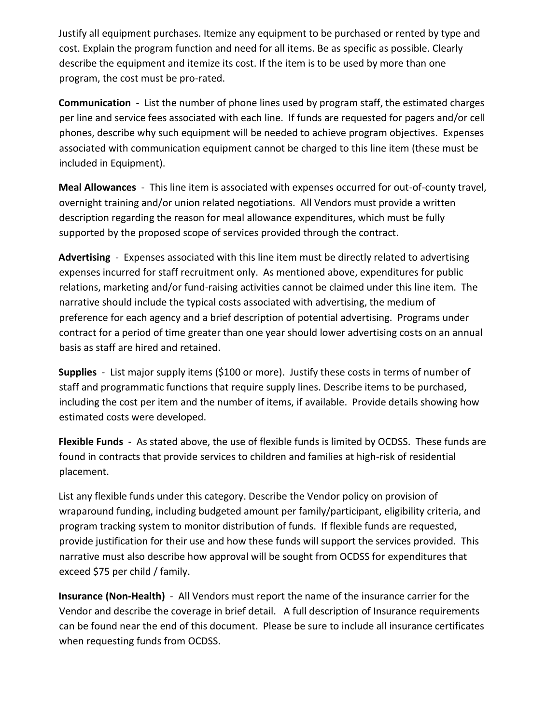Justify all equipment purchases. Itemize any equipment to be purchased or rented by type and cost. Explain the program function and need for all items. Be as specific as possible. Clearly describe the equipment and itemize its cost. If the item is to be used by more than one program, the cost must be pro-rated.

**Communication** - List the number of phone lines used by program staff, the estimated charges per line and service fees associated with each line. If funds are requested for pagers and/or cell phones, describe why such equipment will be needed to achieve program objectives. Expenses associated with communication equipment cannot be charged to this line item (these must be included in Equipment).

**Meal Allowances** - This line item is associated with expenses occurred for out-of-county travel, overnight training and/or union related negotiations. All Vendors must provide a written description regarding the reason for meal allowance expenditures, which must be fully supported by the proposed scope of services provided through the contract.

**Advertising** - Expenses associated with this line item must be directly related to advertising expenses incurred for staff recruitment only. As mentioned above, expenditures for public relations, marketing and/or fund-raising activities cannot be claimed under this line item. The narrative should include the typical costs associated with advertising, the medium of preference for each agency and a brief description of potential advertising. Programs under contract for a period of time greater than one year should lower advertising costs on an annual basis as staff are hired and retained.

**Supplies** - List major supply items (\$100 or more). Justify these costs in terms of number of staff and programmatic functions that require supply lines. Describe items to be purchased, including the cost per item and the number of items, if available. Provide details showing how estimated costs were developed.

**Flexible Funds** - As stated above, the use of flexible funds is limited by OCDSS. These funds are found in contracts that provide services to children and families at high-risk of residential placement.

List any flexible funds under this category. Describe the Vendor policy on provision of wraparound funding, including budgeted amount per family/participant, eligibility criteria, and program tracking system to monitor distribution of funds. If flexible funds are requested, provide justification for their use and how these funds will support the services provided. This narrative must also describe how approval will be sought from OCDSS for expenditures that exceed \$75 per child / family.

**Insurance (Non-Health)** - All Vendors must report the name of the insurance carrier for the Vendor and describe the coverage in brief detail. A full description of Insurance requirements can be found near the end of this document. Please be sure to include all insurance certificates when requesting funds from OCDSS.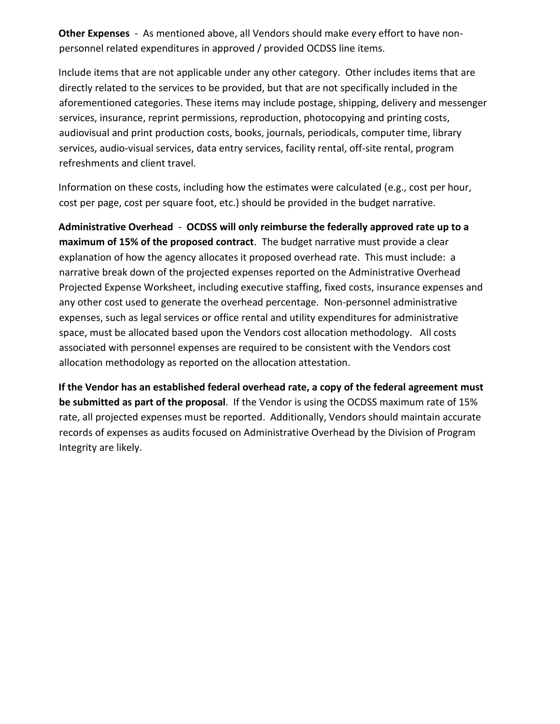**Other Expenses** - As mentioned above, all Vendors should make every effort to have nonpersonnel related expenditures in approved / provided OCDSS line items.

Include items that are not applicable under any other category. Other includes items that are directly related to the services to be provided, but that are not specifically included in the aforementioned categories. These items may include postage, shipping, delivery and messenger services, insurance, reprint permissions, reproduction, photocopying and printing costs, audiovisual and print production costs, books, journals, periodicals, computer time, library services, audio-visual services, data entry services, facility rental, off-site rental, program refreshments and client travel.

Information on these costs, including how the estimates were calculated (e.g., cost per hour, cost per page, cost per square foot, etc.) should be provided in the budget narrative.

**Administrative Overhead** - **OCDSS will only reimburse the federally approved rate up to a maximum of 15% of the proposed contract**. The budget narrative must provide a clear explanation of how the agency allocates it proposed overhead rate. This must include: a narrative break down of the projected expenses reported on the Administrative Overhead Projected Expense Worksheet, including executive staffing, fixed costs, insurance expenses and any other cost used to generate the overhead percentage. Non-personnel administrative expenses, such as legal services or office rental and utility expenditures for administrative space, must be allocated based upon the Vendors cost allocation methodology. All costs associated with personnel expenses are required to be consistent with the Vendors cost allocation methodology as reported on the allocation attestation.

**If the Vendor has an established federal overhead rate, a copy of the federal agreement must be submitted as part of the proposal**. If the Vendor is using the OCDSS maximum rate of 15% rate, all projected expenses must be reported. Additionally, Vendors should maintain accurate records of expenses as audits focused on Administrative Overhead by the Division of Program Integrity are likely.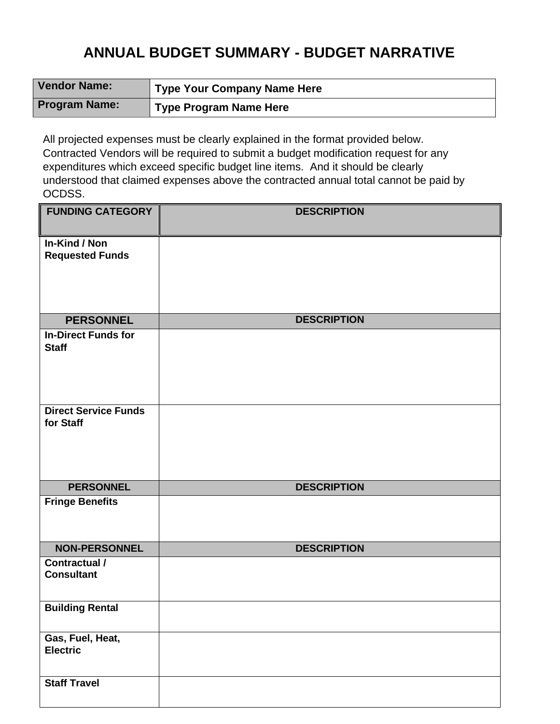## **ANNUAL BUDGET SUMMARY - BUDGET NARRATIVE**

| Vendor Name:         | ⊿ Type Your Company Name Here       |
|----------------------|-------------------------------------|
| <b>Program Name:</b> | <sup>'</sup> Type Program Name Here |

All projected expenses must be clearly explained in the format provided below. Contracted Vendors will be required to submit a budget modification request for any expenditures which exceed specific budget line items. And it should be clearly understood that claimed expenses above the contracted annual total cannot be paid by OCDSS.

| <b>FUNDING CATEGORY</b>                    | <b>DESCRIPTION</b> |
|--------------------------------------------|--------------------|
| In-Kind / Non<br><b>Requested Funds</b>    |                    |
| <b>PERSONNEL</b>                           | <b>DESCRIPTION</b> |
| <b>In-Direct Funds for</b><br><b>Staff</b> |                    |
| <b>Direct Service Funds</b><br>for Staff   |                    |
| <b>PERSONNEL</b>                           | <b>DESCRIPTION</b> |
| <b>Fringe Benefits</b>                     |                    |
| <b>NON-PERSONNEL</b>                       | <b>DESCRIPTION</b> |
| Contractual /<br><b>Consultant</b>         |                    |
| <b>Building Rental</b>                     |                    |
| Gas, Fuel, Heat,<br><b>Electric</b>        |                    |
| <b>Staff Travel</b>                        |                    |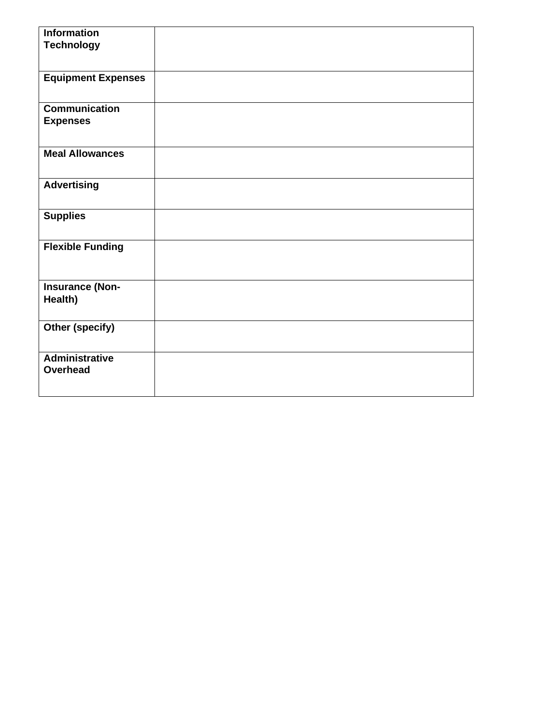| <b>Information</b><br><b>Technology</b> |  |
|-----------------------------------------|--|
| <b>Equipment Expenses</b>               |  |
| <b>Communication</b><br><b>Expenses</b> |  |
| <b>Meal Allowances</b>                  |  |
| <b>Advertising</b>                      |  |
| <b>Supplies</b>                         |  |
| <b>Flexible Funding</b>                 |  |
| <b>Insurance (Non-</b><br>Health)       |  |
| Other (specify)                         |  |
| Administrative<br>Overhead              |  |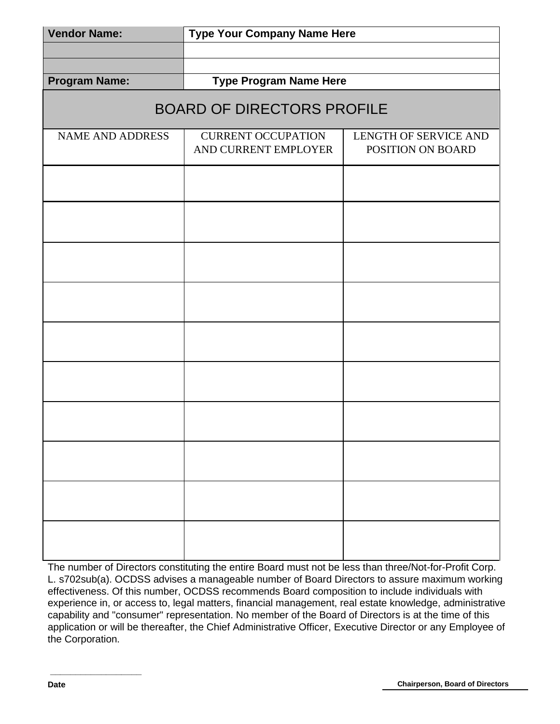| <b>Vendor Name:</b>     | <b>Type Your Company Name Here</b>                |                                                   |  |  |
|-------------------------|---------------------------------------------------|---------------------------------------------------|--|--|
|                         |                                                   |                                                   |  |  |
| <b>Program Name:</b>    | <b>Type Program Name Here</b>                     |                                                   |  |  |
|                         |                                                   |                                                   |  |  |
|                         | <b>BOARD OF DIRECTORS PROFILE</b>                 |                                                   |  |  |
| <b>NAME AND ADDRESS</b> | <b>CURRENT OCCUPATION</b><br>AND CURRENT EMPLOYER | <b>LENGTH OF SERVICE AND</b><br>POSITION ON BOARD |  |  |
|                         |                                                   |                                                   |  |  |
|                         |                                                   |                                                   |  |  |
|                         |                                                   |                                                   |  |  |
|                         |                                                   |                                                   |  |  |
|                         |                                                   |                                                   |  |  |
|                         |                                                   |                                                   |  |  |
|                         |                                                   |                                                   |  |  |
|                         |                                                   |                                                   |  |  |
|                         |                                                   |                                                   |  |  |
|                         |                                                   |                                                   |  |  |

The number of Directors constituting the entire Board must not be less than three/Not-for-Profit Corp. L. s702sub(a). OCDSS advises a manageable number of Board Directors to assure maximum working effectiveness. Of this number, OCDSS recommends Board composition to include individuals with experience in, or access to, legal matters, financial management, real estate knowledge, administrative capability and "consumer" representation. No member of the Board of Directors is at the time of this application or will be thereafter, the Chief Administrative Officer, Executive Director or any Employee of the Corporation.

**\_\_\_\_\_\_\_\_\_\_\_\_\_\_\_\_\_\_**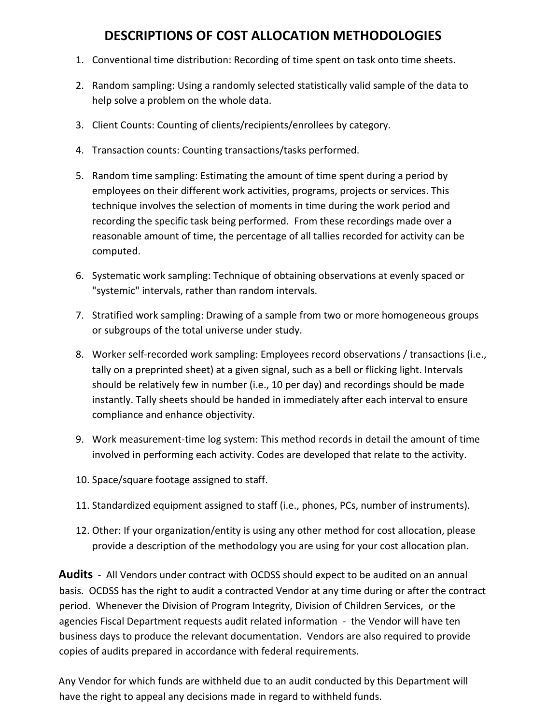### **DESCRIPTIONS OF COST ALLOCATION METHODOLOGIES**

- 1. Conventional time distribution: Recording of time spent on task onto time sheets.
- 2. Random sampling: Using a randomly selected statistically valid sample of the data to help solve a problem on the whole data.
- 3. Client Counts: Counting of clients/recipients/enrollees by category.
- 4. Transaction counts: Counting transactions/tasks performed.
- 5. Random time sampling: Estimating the amount of time spent during a period by employees on their different work activities, programs, projects or services. This technique involves the selection of moments in time during the work period and recording the specific task being performed. From these recordings made over a reasonable amount of time, the percentage of all tallies recorded for activity can be computed.
- 6. Systematic work sampling: Technique of obtaining observations at evenly spaced or "systemic" intervals, rather than random intervals.
- 7. Stratified work sampling: Drawing of a sample from two or more homogeneous groups or subgroups of the total universe under study.
- 8. Worker self-recorded work sampling: Employees record observations / transactions (i.e., tally on a preprinted sheet) at a given signal, such as a bell or flicking light. Intervals should be relatively few in number (i.e., 10 per day) and recordings should be made instantly. Tally sheets should be handed in immediately after each interval to ensure compliance and enhance objectivity.
- 9. Work measurement-time log system: This method records in detail the amount of time involved in performing each activity. Codes are developed that relate to the activity.
- 10. Space/square footage assigned to staff.
- 11. Standardized equipment assigned to staff (i.e., phones, PCs, number of instruments).
- 12. Other: If your organization/entity is using any other method for cost allocation, please provide a description of the methodology you are using for your cost allocation plan.

**Audits** - All Vendors under contract with OCDSS should expect to be audited on an annual basis. OCDSS has the right to audit a contracted Vendor at any time during or after the contract period. Whenever the Division of Program Integrity, Division of Children Services, or the agencies Fiscal Department requests audit related information - the Vendor will have ten business days to produce the relevant documentation. Vendors are also required to provide copies of audits prepared in accordance with federal requirements.

Any Vendor for which funds are withheld due to an audit conducted by this Department will have the right to appeal any decisions made in regard to withheld funds.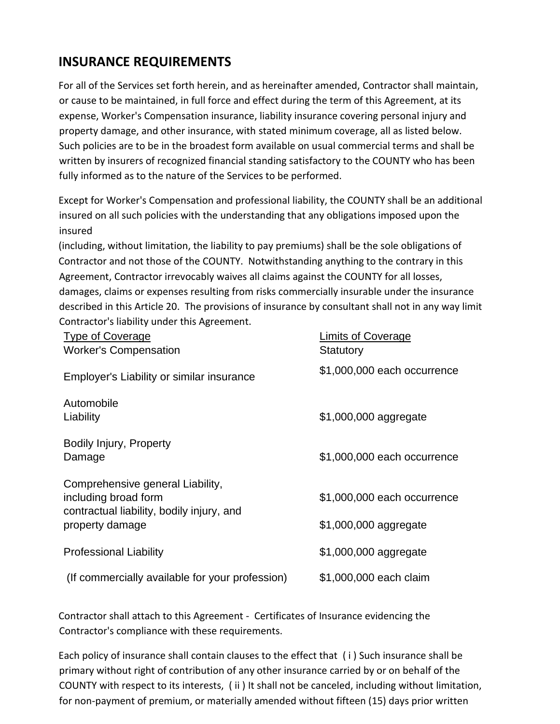## **INSURANCE REQUIREMENTS**

For all of the Services set forth herein, and as hereinafter amended, Contractor shall maintain, or cause to be maintained, in full force and effect during the term of this Agreement, at its expense, Worker's Compensation insurance, liability insurance covering personal injury and property damage, and other insurance, with stated minimum coverage, all as listed below. Such policies are to be in the broadest form available on usual commercial terms and shall be written by insurers of recognized financial standing satisfactory to the COUNTY who has been fully informed as to the nature of the Services to be performed.

Except for Worker's Compensation and professional liability, the COUNTY shall be an additional insured on all such policies with the understanding that any obligations imposed upon the insured

(including, without limitation, the liability to pay premiums) shall be the sole obligations of Contractor and not those of the COUNTY. Notwithstanding anything to the contrary in this Agreement, Contractor irrevocably waives all claims against the COUNTY for all losses, damages, claims or expenses resulting from risks commercially insurable under the insurance described in this Article 20. The provisions of insurance by consultant shall not in any way limit Contractor's liability under this Agreement.

| <b>Type of Coverage</b><br><b>Worker's Compensation</b>                                               | Limits of Coverage<br><b>Statutory</b> |
|-------------------------------------------------------------------------------------------------------|----------------------------------------|
| Employer's Liability or similar insurance                                                             | \$1,000,000 each occurrence            |
| Automobile<br>Liability                                                                               | \$1,000,000 aggregate                  |
| <b>Bodily Injury, Property</b><br>Damage                                                              | \$1,000,000 each occurrence            |
| Comprehensive general Liability,<br>including broad form<br>contractual liability, bodily injury, and | \$1,000,000 each occurrence            |
| property damage                                                                                       | \$1,000,000 aggregate                  |
| <b>Professional Liability</b>                                                                         | \$1,000,000 aggregate                  |
| (If commercially available for your profession)                                                       | \$1,000,000 each claim                 |

Contractor shall attach to this Agreement - Certificates of Insurance evidencing the Contractor's compliance with these requirements.

Each policy of insurance shall contain clauses to the effect that ( i ) Such insurance shall be primary without right of contribution of any other insurance carried by or on behalf of the COUNTY with respect to its interests, ( ii ) It shall not be canceled, including without limitation, for non-payment of premium, or materially amended without fifteen (15) days prior written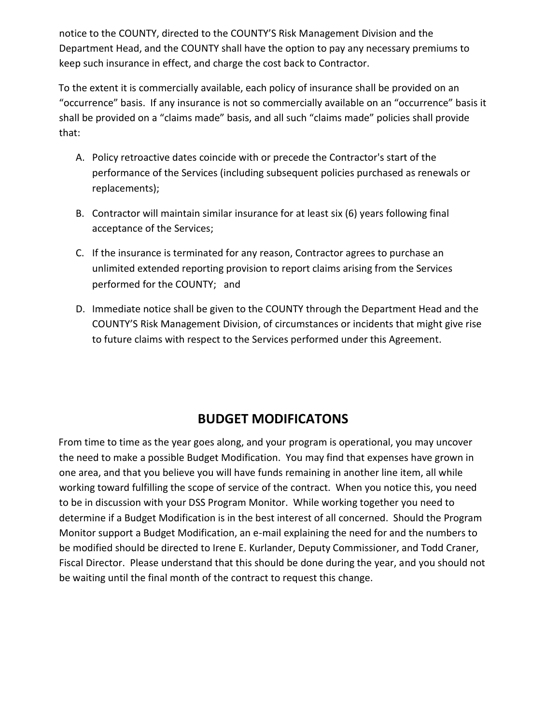notice to the COUNTY, directed to the COUNTY'S Risk Management Division and the Department Head, and the COUNTY shall have the option to pay any necessary premiums to keep such insurance in effect, and charge the cost back to Contractor.

To the extent it is commercially available, each policy of insurance shall be provided on an "occurrence" basis. If any insurance is not so commercially available on an "occurrence" basis it shall be provided on a "claims made" basis, and all such "claims made" policies shall provide that:

- A. Policy retroactive dates coincide with or precede the Contractor's start of the performance of the Services (including subsequent policies purchased as renewals or replacements);
- B. Contractor will maintain similar insurance for at least six (6) years following final acceptance of the Services;
- C. If the insurance is terminated for any reason, Contractor agrees to purchase an unlimited extended reporting provision to report claims arising from the Services performed for the COUNTY; and
- D. Immediate notice shall be given to the COUNTY through the Department Head and the COUNTY'S Risk Management Division, of circumstances or incidents that might give rise to future claims with respect to the Services performed under this Agreement.

### **BUDGET MODIFICATONS**

From time to time as the year goes along, and your program is operational, you may uncover the need to make a possible Budget Modification. You may find that expenses have grown in one area, and that you believe you will have funds remaining in another line item, all while working toward fulfilling the scope of service of the contract. When you notice this, you need to be in discussion with your DSS Program Monitor. While working together you need to determine if a Budget Modification is in the best interest of all concerned. Should the Program Monitor support a Budget Modification, an e-mail explaining the need for and the numbers to be modified should be directed to Irene E. Kurlander, Deputy Commissioner, and Todd Craner, Fiscal Director. Please understand that this should be done during the year, and you should not be waiting until the final month of the contract to request this change.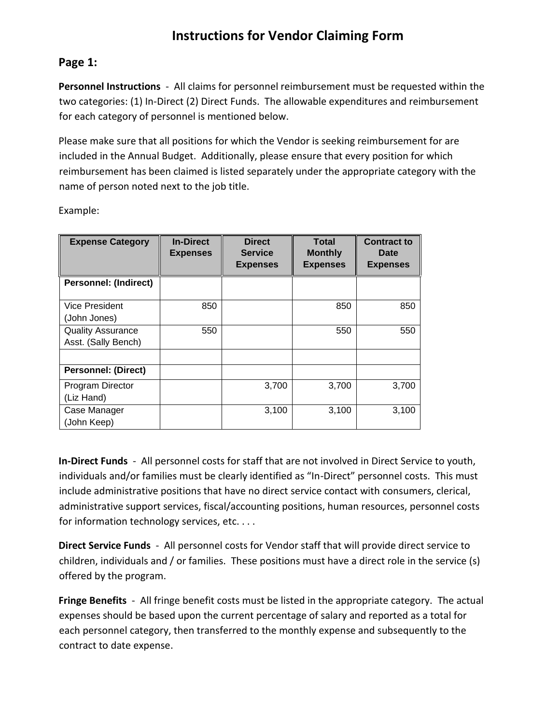### **Instructions for Vendor Claiming Form**

#### **Page 1:**

**Personnel Instructions** - All claims for personnel reimbursement must be requested within the two categories: (1) In-Direct (2) Direct Funds. The allowable expenditures and reimbursement for each category of personnel is mentioned below.

Please make sure that all positions for which the Vendor is seeking reimbursement for are included in the Annual Budget. Additionally, please ensure that every position for which reimbursement has been claimed is listed separately under the appropriate category with the name of person noted next to the job title.

Example:

| <b>Expense Category</b>                         | <b>In-Direct</b><br><b>Expenses</b> | <b>Direct</b><br><b>Service</b><br><b>Expenses</b> | <b>Total</b><br><b>Monthly</b><br><b>Expenses</b> | <b>Contract to</b><br>Date<br><b>Expenses</b> |
|-------------------------------------------------|-------------------------------------|----------------------------------------------------|---------------------------------------------------|-----------------------------------------------|
| <b>Personnel: (Indirect)</b>                    |                                     |                                                    |                                                   |                                               |
| Vice President<br>(John Jones)                  | 850                                 |                                                    | 850                                               | 850                                           |
| <b>Quality Assurance</b><br>Asst. (Sally Bench) | 550                                 |                                                    | 550                                               | 550                                           |
|                                                 |                                     |                                                    |                                                   |                                               |
| <b>Personnel: (Direct)</b>                      |                                     |                                                    |                                                   |                                               |
| Program Director<br>(Liz Hand)                  |                                     | 3,700                                              | 3,700                                             | 3,700                                         |
| Case Manager<br>(John Keep)                     |                                     | 3,100                                              | 3,100                                             | 3,100                                         |

**In-Direct Funds** - All personnel costs for staff that are not involved in Direct Service to youth, individuals and/or families must be clearly identified as "In-Direct" personnel costs. This must include administrative positions that have no direct service contact with consumers, clerical, administrative support services, fiscal/accounting positions, human resources, personnel costs for information technology services, etc. . . .

**Direct Service Funds** - All personnel costs for Vendor staff that will provide direct service to children, individuals and / or families. These positions must have a direct role in the service (s) offered by the program.

**Fringe Benefits** - All fringe benefit costs must be listed in the appropriate category. The actual expenses should be based upon the current percentage of salary and reported as a total for each personnel category, then transferred to the monthly expense and subsequently to the contract to date expense.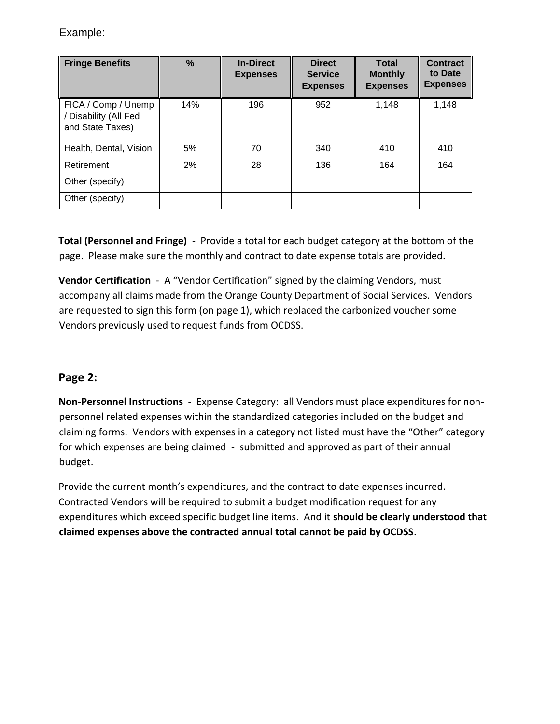Example:

| <b>Fringe Benefits</b>                                           | %   | <b>In-Direct</b><br><b>Expenses</b> | <b>Direct</b><br><b>Service</b><br><b>Expenses</b> | <b>Total</b><br><b>Monthly</b><br><b>Expenses</b> | <b>Contract</b><br>to Date<br><b>Expenses</b> |
|------------------------------------------------------------------|-----|-------------------------------------|----------------------------------------------------|---------------------------------------------------|-----------------------------------------------|
| FICA / Comp / Unemp<br>/ Disability (All Fed<br>and State Taxes) | 14% | 196                                 | 952                                                | 1,148                                             | 1,148                                         |
| Health, Dental, Vision                                           | 5%  | 70                                  | 340                                                | 410                                               | 410                                           |
| Retirement                                                       | 2%  | 28                                  | 136                                                | 164                                               | 164                                           |
| Other (specify)                                                  |     |                                     |                                                    |                                                   |                                               |
| Other (specify)                                                  |     |                                     |                                                    |                                                   |                                               |

**Total (Personnel and Fringe)** - Provide a total for each budget category at the bottom of the page. Please make sure the monthly and contract to date expense totals are provided.

**Vendor Certification** - A "Vendor Certification" signed by the claiming Vendors, must accompany all claims made from the Orange County Department of Social Services. Vendors are requested to sign this form (on page 1), which replaced the carbonized voucher some Vendors previously used to request funds from OCDSS.

#### **Page 2:**

**Non-Personnel Instructions** - Expense Category: all Vendors must place expenditures for nonpersonnel related expenses within the standardized categories included on the budget and claiming forms. Vendors with expenses in a category not listed must have the "Other" category for which expenses are being claimed - submitted and approved as part of their annual budget.

Provide the current month's expenditures, and the contract to date expenses incurred. Contracted Vendors will be required to submit a budget modification request for any expenditures which exceed specific budget line items. And it **should be clearly understood that claimed expenses above the contracted annual total cannot be paid by OCDSS**.